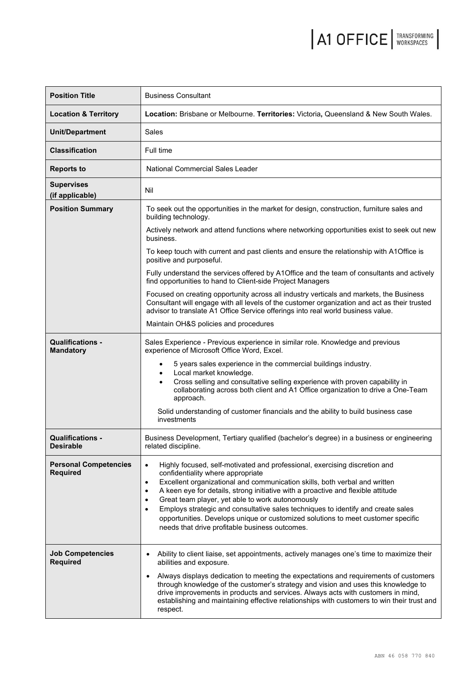| <b>Position Title</b>                           | <b>Business Consultant</b>                                                                                                                                                                                                                                                                                                                                                                                                                                                                                                                                                                                               |  |  |  |
|-------------------------------------------------|--------------------------------------------------------------------------------------------------------------------------------------------------------------------------------------------------------------------------------------------------------------------------------------------------------------------------------------------------------------------------------------------------------------------------------------------------------------------------------------------------------------------------------------------------------------------------------------------------------------------------|--|--|--|
| <b>Location &amp; Territory</b>                 | Location: Brisbane or Melbourne. Territories: Victoria, Queensland & New South Wales.                                                                                                                                                                                                                                                                                                                                                                                                                                                                                                                                    |  |  |  |
| <b>Unit/Department</b>                          | Sales                                                                                                                                                                                                                                                                                                                                                                                                                                                                                                                                                                                                                    |  |  |  |
| <b>Classification</b>                           | Full time                                                                                                                                                                                                                                                                                                                                                                                                                                                                                                                                                                                                                |  |  |  |
| <b>Reports to</b>                               | <b>National Commercial Sales Leader</b>                                                                                                                                                                                                                                                                                                                                                                                                                                                                                                                                                                                  |  |  |  |
| <b>Supervises</b><br>(if applicable)            | Nil                                                                                                                                                                                                                                                                                                                                                                                                                                                                                                                                                                                                                      |  |  |  |
| <b>Position Summary</b>                         | To seek out the opportunities in the market for design, construction, furniture sales and<br>building technology.                                                                                                                                                                                                                                                                                                                                                                                                                                                                                                        |  |  |  |
|                                                 | Actively network and attend functions where networking opportunities exist to seek out new<br>business.                                                                                                                                                                                                                                                                                                                                                                                                                                                                                                                  |  |  |  |
|                                                 | To keep touch with current and past clients and ensure the relationship with A1Office is<br>positive and purposeful.                                                                                                                                                                                                                                                                                                                                                                                                                                                                                                     |  |  |  |
|                                                 | Fully understand the services offered by A1Office and the team of consultants and actively<br>find opportunities to hand to Client-side Project Managers                                                                                                                                                                                                                                                                                                                                                                                                                                                                 |  |  |  |
|                                                 | Focused on creating opportunity across all industry verticals and markets, the Business<br>Consultant will engage with all levels of the customer organization and act as their trusted<br>advisor to translate A1 Office Service offerings into real world business value.                                                                                                                                                                                                                                                                                                                                              |  |  |  |
|                                                 | Maintain OH&S policies and procedures                                                                                                                                                                                                                                                                                                                                                                                                                                                                                                                                                                                    |  |  |  |
| <b>Qualifications -</b><br><b>Mandatory</b>     | Sales Experience - Previous experience in similar role. Knowledge and previous<br>experience of Microsoft Office Word, Excel.                                                                                                                                                                                                                                                                                                                                                                                                                                                                                            |  |  |  |
|                                                 | 5 years sales experience in the commercial buildings industry.<br>Local market knowledge.<br>$\bullet$<br>Cross selling and consultative selling experience with proven capability in<br>$\bullet$<br>collaborating across both client and A1 Office organization to drive a One-Team<br>approach.<br>Solid understanding of customer financials and the ability to build business case                                                                                                                                                                                                                                  |  |  |  |
|                                                 | investments                                                                                                                                                                                                                                                                                                                                                                                                                                                                                                                                                                                                              |  |  |  |
| <b>Qualifications -</b><br>Desirable            | Business Development, Tertiary qualified (bachelor's degree) in a business or engineering<br>related discipline.                                                                                                                                                                                                                                                                                                                                                                                                                                                                                                         |  |  |  |
| <b>Personal Competencies</b><br><b>Required</b> | Highly focused, self-motivated and professional, exercising discretion and<br>$\bullet$<br>confidentiality where appropriate<br>Excellent organizational and communication skills, both verbal and written<br>$\bullet$<br>A keen eye for details, strong initiative with a proactive and flexible attitude<br>$\bullet$<br>Great team player, yet able to work autonomously<br>٠<br>Employs strategic and consultative sales techniques to identify and create sales<br>$\bullet$<br>opportunities. Develops unique or customized solutions to meet customer specific<br>needs that drive profitable business outcomes. |  |  |  |
| <b>Job Competencies</b><br><b>Required</b>      | Ability to client liaise, set appointments, actively manages one's time to maximize their<br>$\bullet$<br>abilities and exposure.<br>Always displays dedication to meeting the expectations and requirements of customers<br>$\bullet$<br>through knowledge of the customer's strategy and vision and uses this knowledge to<br>drive improvements in products and services. Always acts with customers in mind,<br>establishing and maintaining effective relationships with customers to win their trust and<br>respect.                                                                                               |  |  |  |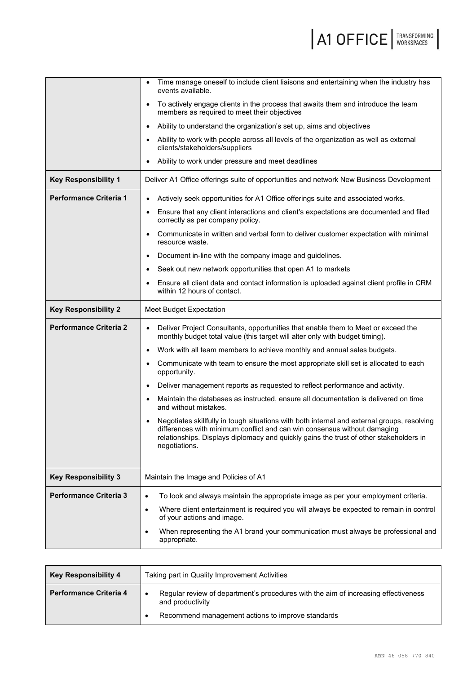|                               | Time manage oneself to include client liaisons and entertaining when the industry has<br>events available.                                                                                                                                                                                      |  |  |
|-------------------------------|-------------------------------------------------------------------------------------------------------------------------------------------------------------------------------------------------------------------------------------------------------------------------------------------------|--|--|
|                               | To actively engage clients in the process that awaits them and introduce the team<br>$\bullet$<br>members as required to meet their objectives                                                                                                                                                  |  |  |
|                               | Ability to understand the organization's set up, aims and objectives<br>$\bullet$                                                                                                                                                                                                               |  |  |
|                               | Ability to work with people across all levels of the organization as well as external<br>clients/stakeholders/suppliers                                                                                                                                                                         |  |  |
|                               | Ability to work under pressure and meet deadlines                                                                                                                                                                                                                                               |  |  |
| <b>Key Responsibility 1</b>   | Deliver A1 Office offerings suite of opportunities and network New Business Development                                                                                                                                                                                                         |  |  |
| <b>Performance Criteria 1</b> | Actively seek opportunities for A1 Office offerings suite and associated works.<br>$\bullet$                                                                                                                                                                                                    |  |  |
|                               | Ensure that any client interactions and client's expectations are documented and filed<br>$\bullet$<br>correctly as per company policy.                                                                                                                                                         |  |  |
|                               | Communicate in written and verbal form to deliver customer expectation with minimal<br>$\bullet$<br>resource waste.                                                                                                                                                                             |  |  |
|                               | Document in-line with the company image and guidelines.<br>$\bullet$                                                                                                                                                                                                                            |  |  |
|                               | Seek out new network opportunities that open A1 to markets<br>$\bullet$                                                                                                                                                                                                                         |  |  |
|                               | Ensure all client data and contact information is uploaded against client profile in CRM<br>within 12 hours of contact.                                                                                                                                                                         |  |  |
| <b>Key Responsibility 2</b>   | Meet Budget Expectation                                                                                                                                                                                                                                                                         |  |  |
| <b>Performance Criteria 2</b> | Deliver Project Consultants, opportunities that enable them to Meet or exceed the<br>$\bullet$<br>monthly budget total value (this target will alter only with budget timing).                                                                                                                  |  |  |
|                               | Work with all team members to achieve monthly and annual sales budgets.<br>$\bullet$                                                                                                                                                                                                            |  |  |
|                               | Communicate with team to ensure the most appropriate skill set is allocated to each<br>$\bullet$<br>opportunity.                                                                                                                                                                                |  |  |
|                               | Deliver management reports as requested to reflect performance and activity.<br>$\bullet$                                                                                                                                                                                                       |  |  |
|                               | Maintain the databases as instructed, ensure all documentation is delivered on time<br>$\bullet$<br>and without mistakes.                                                                                                                                                                       |  |  |
|                               | Negotiates skillfully in tough situations with both internal and external groups, resolving<br>$\bullet$<br>differences with minimum conflict and can win consensus without damaging<br>relationships. Displays diplomacy and quickly gains the trust of other stakeholders in<br>negotiations. |  |  |
| <b>Key Responsibility 3</b>   | Maintain the Image and Policies of A1                                                                                                                                                                                                                                                           |  |  |
| <b>Performance Criteria 3</b> | To look and always maintain the appropriate image as per your employment criteria.<br>$\bullet$                                                                                                                                                                                                 |  |  |
|                               | Where client entertainment is required you will always be expected to remain in control<br>$\bullet$<br>of your actions and image.                                                                                                                                                              |  |  |
|                               | When representing the A1 brand your communication must always be professional and<br>$\bullet$<br>appropriate.                                                                                                                                                                                  |  |  |

| <b>Key Responsibility 4</b>   | Taking part in Quality Improvement Activities |                                                                                    |  |
|-------------------------------|-----------------------------------------------|------------------------------------------------------------------------------------|--|
| <b>Performance Criteria 4</b> | and productivity                              | Regular review of department's procedures with the aim of increasing effectiveness |  |
|                               |                                               | Recommend management actions to improve standards                                  |  |